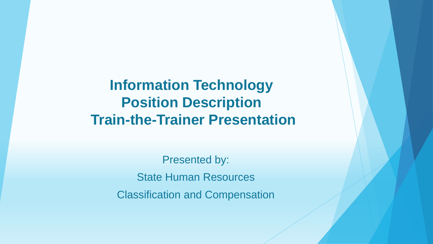**Information Technology Position Description Train-the-Trainer Presentation**

> Presented by: State Human Resources Classification and Compensation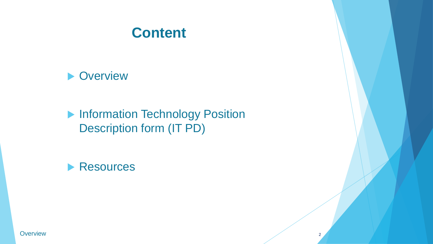#### **Content**



**Information Technology Position** Description form (IT PD)



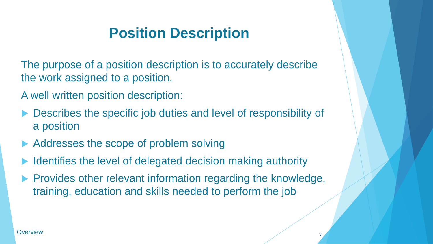## **Position Description**

The purpose of a position description is to accurately describe the work assigned to a position.

- A well written position description:
- Describes the specific job duties and level of responsibility of a position
- Addresses the scope of problem solving
- Identifies the level of delegated decision making authority
- Provides other relevant information regarding the knowledge, training, education and skills needed to perform the job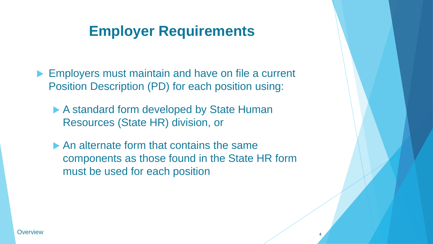### **Employer Requirements**

- **Employers must maintain and have on file a current** Position Description (PD) for each position using:
	- ▶ A standard form developed by State Human Resources (State HR) division, or
	- An alternate form that contains the same components as those found in the State HR form must be used for each position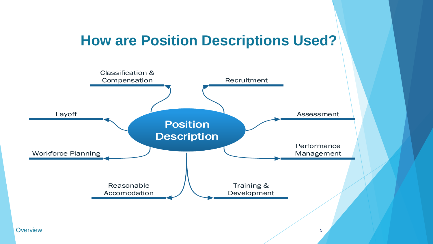#### **How are Position Descriptions Used?**

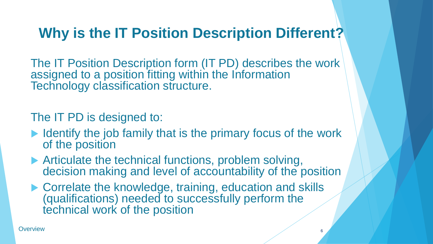## **Why is the IT Position Description Different?**

The IT Position Description form (IT PD) describes the work assigned to a position fitting within the Information Technology classification structure.

The IT PD is designed to:

- $\blacktriangleright$  Identify the job family that is the primary focus of the work of the position
- ▶ Articulate the technical functions, problem solving, decision making and level of accountability of the position
- ▶ Correlate the knowledge, training, education and skills (qualifications) needed to successfully perform the technical work of the position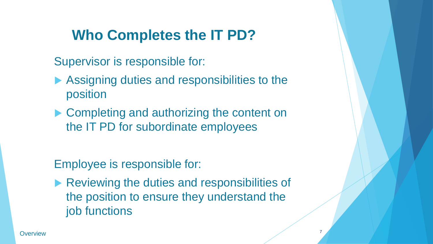## **Who Completes the IT PD?**

Supervisor is responsible for:

- ▶ Assigning duties and responsibilities to the position
- ▶ Completing and authorizing the content on the IT PD for subordinate employees

Employee is responsible for:

Reviewing the duties and responsibilities of the position to ensure they understand the job functions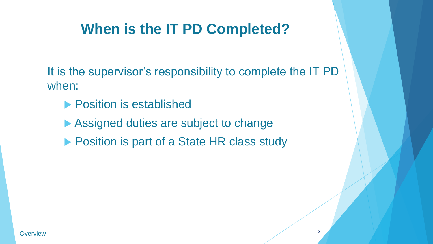## **When is the IT PD Completed?**

It is the supervisor's responsibility to complete the IT PD when:

- **Position is established**
- Assigned duties are subject to change
- ▶ Position is part of a State HR class study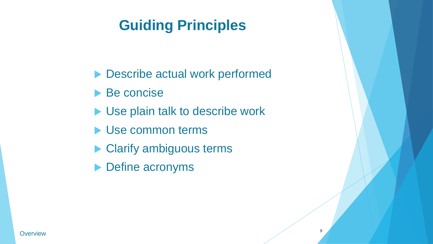## **Guiding Principles**

- ▶ Describe actual work performed
- Be concise
- Use plain talk to describe work
- Use common terms
- ▶ Clarify ambiguous terms
- ▶ Define acronyms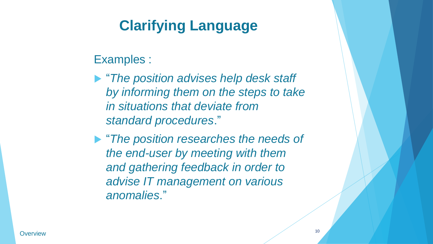## **Clarifying Language**

Examples :

- "*The position advises help desk staff by informing them on the steps to take in situations that deviate from standard procedures*."
- "*The position researches the needs of the end-user by meeting with them and gathering feedback in order to advise IT management on various anomalies*."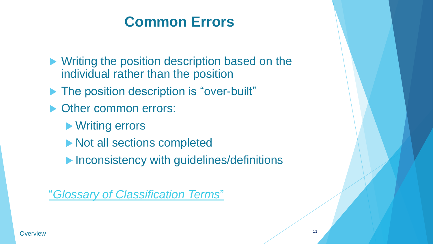## **Common Errors**

- **Writing the position description based on the** individual rather than the position
- ▶ The position description is "over-built"
- ▶ Other common errors:
	- ▶ Writing errors
	- ▶ Not all sections completed
	- **Inconsistency with guidelines/definitions**

"*[Glossary of Classification Terms](http://hr.ofm.wa.gov/sites/default/files/documents/CompensationAndJobClasses/Comp Class HR Pro Tools/ClassificationGlossary.doc)*"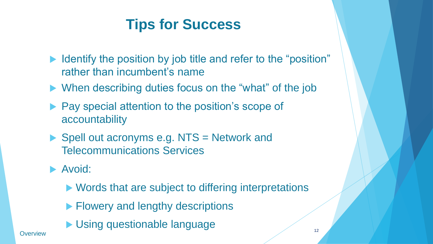## **Tips for Success**

- I dentify the position by job title and refer to the "position" rather than incumbent's name
- ▶ When describing duties focus on the "what" of the job
- **Pay special attention to the position's scope of** accountability
- $\triangleright$  Spell out acronyms e.g. NTS = Network and Telecommunications Services
- Avoid:
	- ▶ Words that are subject to differing interpretations
	- **Flowery and lengthy descriptions**
- **Using questionable language 12 Coverview**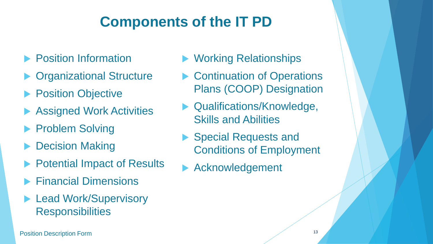## **Components of the IT PD**

- Position Information
- Organizational Structure
- **Position Objective**
- Assigned Work Activities
- Problem Solving
- Decision Making
- Potential Impact of Results
- Financial Dimensions
- Lead Work/Supervisory **Responsibilities**

**13** Position Description Form **13** 

- ▶ Working Relationships
- ▶ Continuation of Operations Plans (COOP) Designation
- Qualifications/Knowledge, Skills and Abilities
- ▶ Special Requests and Conditions of Employment
- Acknowledgement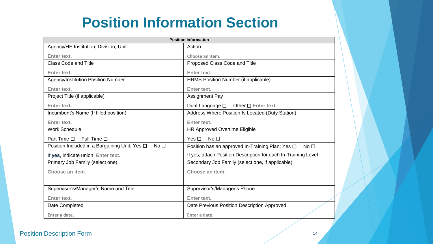## **Position Information Section**

| <b>Position Information</b>                                              |                                                                     |
|--------------------------------------------------------------------------|---------------------------------------------------------------------|
| Agency/HE Institution, Division, Unit                                    | Action                                                              |
| Enter text.                                                              | Choose an item.                                                     |
| <b>Class Code and Title</b>                                              | Proposed Class Code and Title                                       |
| <b>Enter text.</b>                                                       | Enter text.                                                         |
| Agency/Institution Position Number                                       | HRMS Position Number (if applicable)                                |
| <b>Enter text.</b>                                                       | <b>Enter text.</b>                                                  |
| Project Title (if applicable)                                            | <b>Assignment Pay</b>                                               |
| <b>Enter text.</b>                                                       | Dual Language $\square$ Other $\square$ Enter text.                 |
| Incumbent's Name (If filled position)                                    | Address Where Position Is Located (Duty Station)                    |
| <b>Enter text.</b>                                                       | <b>Enter text.</b>                                                  |
| <b>Work Schedule</b>                                                     | <b>HR Approved Overtime Eligible</b>                                |
| Part Time $\square$<br>Full Time $\square$                               | Yes $\Box$<br>No <sub>1</sub>                                       |
| No <sub>1</sub><br>Position Included in a Bargaining Unit: Yes $\square$ | Position has an approved In-Training Plan: Yes □<br>No <sub>1</sub> |
| If yes, indicate union: Enter text.                                      | If yes, attach Position Description for each In-Training Level      |
| Primary Job Family (select one)                                          | Secondary Job Family (select one, if applicable)                    |
| Choose an item.                                                          | Choose an item.                                                     |
|                                                                          |                                                                     |
| Supervisor's/Manager's Name and Title                                    | Supervisor's/Manager's Phone                                        |
| <b>Enter text.</b>                                                       | Enter text.                                                         |
| Date Completed                                                           | Date Previous Position Description Approved                         |
| Enter a date.                                                            | Enter a date.                                                       |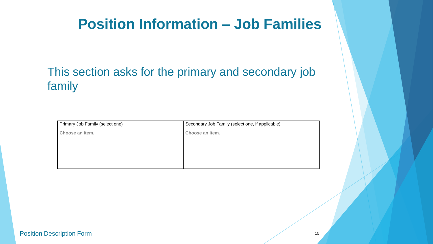#### **Position Information – Job Families**

#### This section asks for the primary and secondary job family

| Primary Job Family (select one) | Secondary Job Family (select one, if applicable) |
|---------------------------------|--------------------------------------------------|
| Choose an item.                 | Choose an item.                                  |
|                                 |                                                  |
|                                 |                                                  |
|                                 |                                                  |
|                                 |                                                  |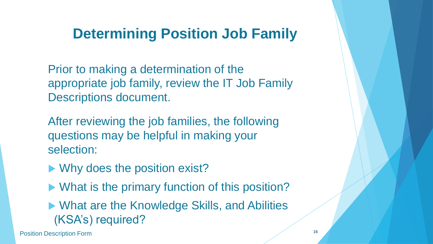### **Determining Position Job Family**

Prior to making a determination of the appropriate job family, review the IT Job Family Descriptions document.

After reviewing the job families, the following questions may be helpful in making your selection:

- ▶ Why does the position exist?
- ▶ What is the primary function of this position?

▶ What are the Knowledge Skills, and Abilities (KSA's) required?

**16** Position Description Form **16**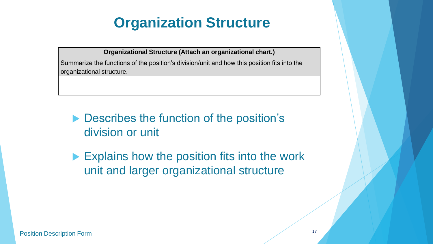## **Organization Structure**

**Organizational Structure (Attach an organizational chart.)**

Summarize the functions of the position's division/unit and how this position fits into the organizational structure.

- **Describes the function of the position's** division or unit
- Explains how the position fits into the work unit and larger organizational structure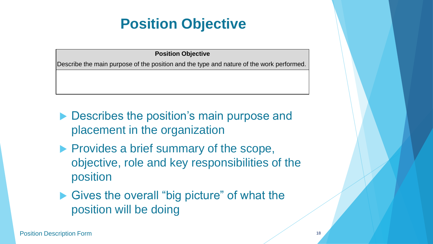## **Position Objective**

#### **Position Objective**

Describe the main purpose of the position and the type and nature of the work performed.

- **Describes the position's main purpose and** placement in the organization
- $\blacktriangleright$  Provides a brief summary of the scope, objective, role and key responsibilities of the position
- Gives the overall "big picture" of what the position will be doing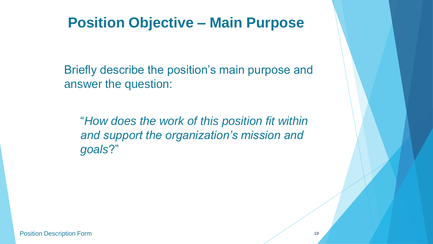#### **Position Objective – Main Purpose**

Briefly describe the position's main purpose and answer the question:

"*How does the work of this position fit within and support the organization's mission and goals*?"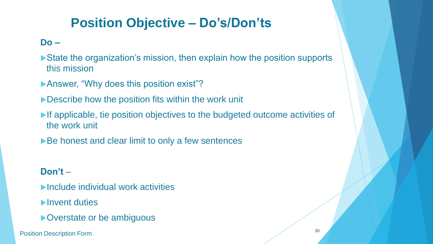#### **Position Objective – Do's/Don'ts**

#### **Do –**

- ▶ State the organization's mission, then explain how the position supports this mission
- **Answer, "Why does this position exist"?**
- Describe how the position fits within the work unit
- If applicable, tie position objectives to the budgeted outcome activities of the work unit
- ▶ Be honest and clear limit to only a few sentences

#### **Don't** –

- ▶ Include individual work activities
- **Invent duties**
- **D** Overstate or be ambiguous

**20** Position Description Form 20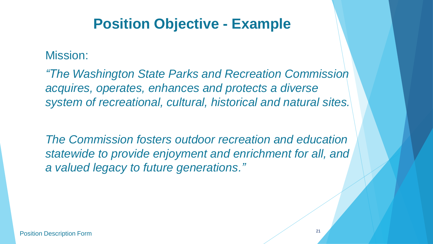#### **Position Objective - Example**

#### Mission:

*"The Washington State Parks and Recreation Commission acquires, operates, enhances and protects a diverse system of recreational, cultural, historical and natural sites.* 

*The Commission fosters outdoor recreation and education statewide to provide enjoyment and enrichment for all, and a valued legacy to future generations."*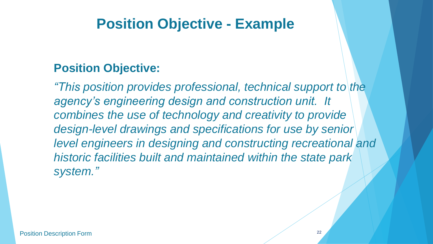#### **Position Objective - Example**

#### **Position Objective:**

*"This position provides professional, technical support to the agency's engineering design and construction unit. It combines the use of technology and creativity to provide design-level drawings and specifications for use by senior level engineers in designing and constructing recreational and historic facilities built and maintained within the state park system."*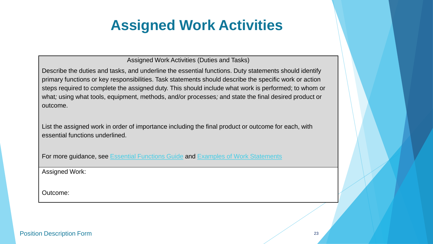Assigned Work Activities (Duties and Tasks)

Describe the duties and tasks, and underline the essential functions. Duty statements should identify primary functions or key responsibilities. Task statements should describe the specific work or action steps required to complete the assigned duty. This should include what work is performed; to whom or what*;* using what tools, equipment, methods, and/or processes*;* and state the final desired product or outcome.

List the assigned work in order of importance including the final product or outcome for each, with essential functions underlined.

For more guidance, see [Essential Functions Guide](http://www.dop.wa.gov/WorkforceDataAndPlanning/WorkforcePlanning/Pages/EssentialFunctionsGuidance.aspx) and [Examples of Work Statements](http://www.dop.wa.gov/SiteCollectionDocuments/Strategic HR/Workforce Planning/Examples_of_Work_Statements_06.2011.doc)

Assigned Work:

Outcome: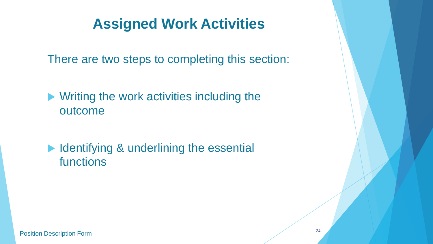There are two steps to completing this section:

▶ Writing the work activities including the outcome

In Identifying & underlining the essential functions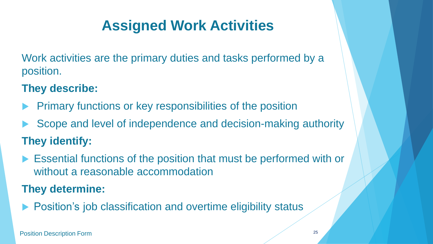Work activities are the primary duties and tasks performed by a position.

#### **They describe:**

- Primary functions or key responsibilities of the position
- Scope and level of independence and decision-making authority **They identify:**
- Essential functions of the position that must be performed with or without a reasonable accommodation

#### **They determine:**

Position's job classification and overtime eligibility status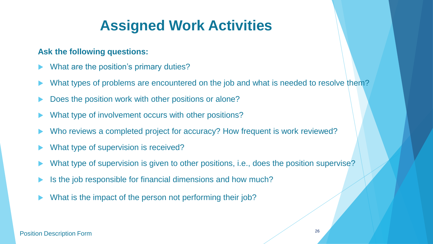#### **Ask the following questions:**

- What are the position's primary duties?
- What types of problems are encountered on the job and what is needed to resolve them?
- Does the position work with other positions or alone?
- What type of involvement occurs with other positions?
- Who reviews a completed project for accuracy? How frequent is work reviewed?
- What type of supervision is received?
- What type of supervision is given to other positions, i.e., does the position supervise?
- Is the job responsible for financial dimensions and how much?
- What is the impact of the person not performing their job?

#### **Position Description Form** 26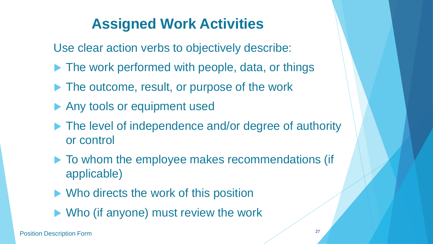Use clear action verbs to objectively describe:

- ▶ The work performed with people, data, or things
- The outcome, result, or purpose of the work
- Any tools or equipment used
- ▶ The level of independence and/or degree of authority or control
- $\blacktriangleright$  To whom the employee makes recommendations (if applicable)
- ▶ Who directs the work of this position
- ▶ Who (if anyone) must review the work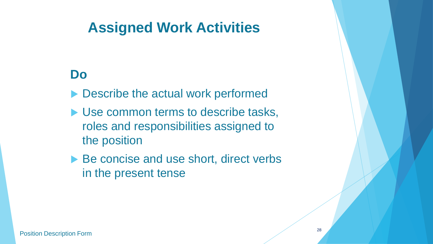#### **Do**

- ▶ Describe the actual work performed
- Use common terms to describe tasks, roles and responsibilities assigned to the position
- ▶ Be concise and use short, direct verbs in the present tense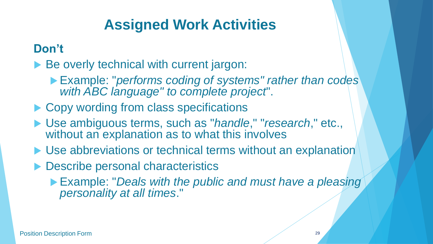#### **Don't**

Be overly technical with current jargon:

- Example: "*performs coding of systems" rather than codes with ABC language" to complete project*".
- ▶ Copy wording from class specifications
- Use ambiguous terms, such as "*handle*," "*research*," etc., without an explanation as to what this involves
- ▶ Use abbreviations or technical terms without an explanation
- ▶ Describe personal characteristics
	- Example: "*Deals with the public and must have a pleasing personality at all times*."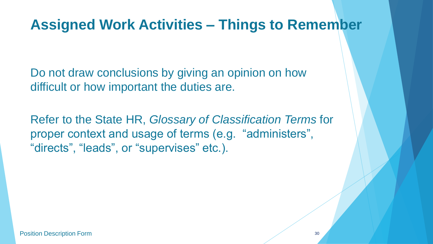#### **Assigned Work Activities – Things to Remember**

Do not draw conclusions by giving an opinion on how difficult or how important the duties are.

Refer to the State HR, *Glossary of Classification Terms* for proper context and usage of terms (e.g. "administers", "directs", "leads", or "supervises" etc.).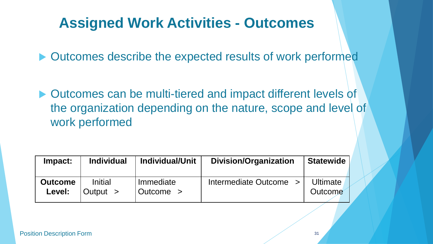### **Assigned Work Activities - Outcomes**

▶ Outcomes describe the expected results of work performed

▶ Outcomes can be multi-tiered and impact different levels of the organization depending on the nature, scope and level of work performed

| Impact:        | <b>Individual</b> | Individual/Unit | <b>Division/Organization</b> | <b>Statewide</b> |
|----------------|-------------------|-----------------|------------------------------|------------------|
| <b>Outcome</b> | Initial           | Immediate       | Intermediate Outcome >       | Ultimate         |
| Level:         | Output $>$        | Outcome >       |                              | Outcome          |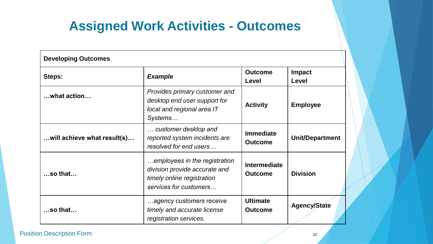#### **Assigned Work Activities - Outcomes**

| <b>Developing Outcomes</b>  |                                                                                                                        |                                       |                        |
|-----------------------------|------------------------------------------------------------------------------------------------------------------------|---------------------------------------|------------------------|
| Steps:                      | <b>Example</b>                                                                                                         | <b>Outcome</b><br>Level               | <b>Impact</b><br>Level |
| what action                 | Provides primary customer and<br>desktop end user support for<br>local and regional area IT<br>Systems                 | <b>Activity</b>                       | <b>Employee</b>        |
| will achieve what result(s) | customer desktop and<br>reported system incidents are<br>resolved for end users                                        | <b>Immediate</b><br><b>Outcome</b>    | <b>Unit/Department</b> |
| $$ so that $$               | employees in the registration<br>division provide accurate and<br>timely online registration<br>services for customers | <b>Intermediate</b><br><b>Outcome</b> | <b>Division</b>        |
| $$ so that $$               | agency customers receive<br>timely and accurate license<br>registration services.                                      | <b>Ultimate</b><br><b>Outcome</b>     | <b>Agency/State</b>    |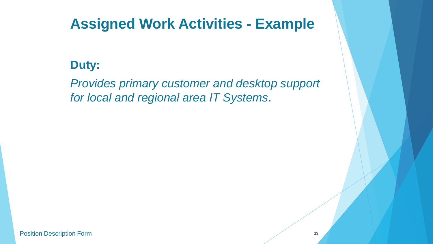#### **Duty:**

*Provides primary customer and desktop support for local and regional area IT Systems*.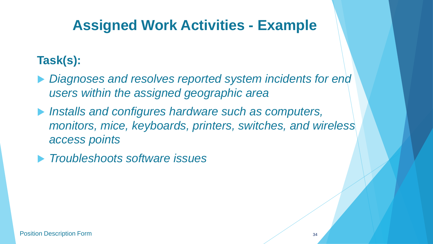#### **Task(s):**

- *Diagnoses and resolves reported system incidents for end users within the assigned geographic area*
- *Installs and configures hardware such as computers, monitors, mice, keyboards, printers, switches, and wireless access points*
- *Troubleshoots software issues*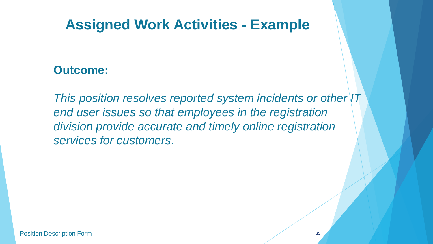#### **Outcome:**

*This position resolves reported system incidents or other IT end user issues so that employees in the registration division provide accurate and timely online registration services for customers*.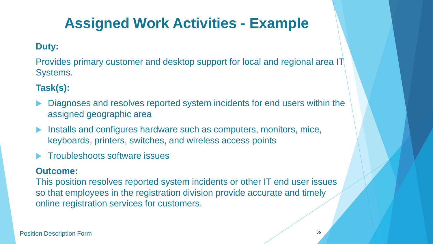#### **Duty:**

Provides primary customer and desktop support for local and regional area IT Systems.

#### **Task(s):**

- Diagnoses and resolves reported system incidents for end users within the assigned geographic area
- **Installs and configures hardware such as computers, monitors, mice,** keyboards, printers, switches, and wireless access points
- Troubleshoots software issues

#### **Outcome:**

This position resolves reported system incidents or other IT end user issues so that employees in the registration division provide accurate and timely online registration services for customers.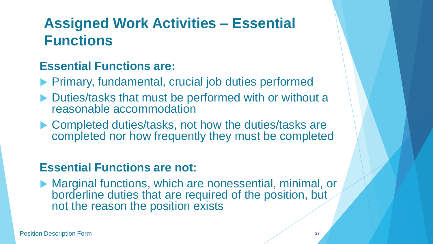## **Assigned Work Activities – Essential Functions**

#### **Essential Functions are:**

- **Primary, fundamental, crucial job duties performed**
- ▶ Duties/tasks that must be performed with or without a reasonable accommodation
- ▶ Completed duties/tasks, not how the duties/tasks are completed nor how frequently they must be completed

#### **Essential Functions are not:**

▶ Marginal functions, which are nonessential, minimal, or borderline duties that are required of the position, but not the reason the position exists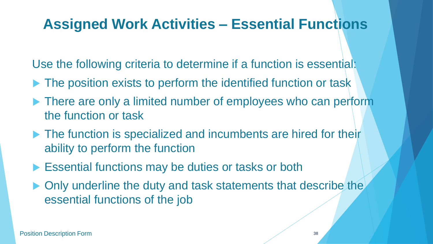### **Assigned Work Activities – Essential Functions**

Use the following criteria to determine if a function is essential:

- The position exists to perform the identified function or task
- ▶ There are only a limited number of employees who can perform the function or task
- ▶ The function is specialized and incumbents are hired for their ability to perform the function
- **Essential functions may be duties or tasks or both**
- ▶ Only underline the duty and task statements that describe the essential functions of the job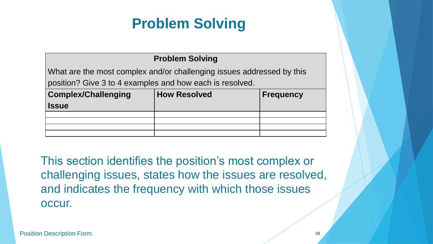#### **Problem Solving**

What are the most complex and/or challenging issues addressed by this position? Give 3 to 4 examples and how each is resolved.

| <b>Complex/Challenging</b><br><b>Issue</b> | <b>How Resolved</b> | <b>Frequency</b> |
|--------------------------------------------|---------------------|------------------|
|                                            |                     |                  |
|                                            |                     |                  |
|                                            |                     |                  |
|                                            |                     |                  |

This section identifies the position's most complex or challenging issues, states how the issues are resolved, and indicates the frequency with which those issues occur.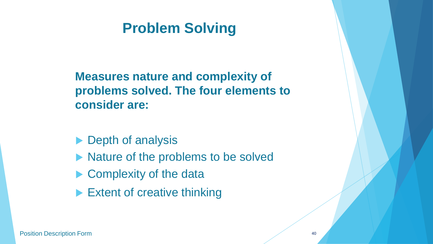**Measures nature and complexity of problems solved. The four elements to consider are:**

- $\blacktriangleright$  Depth of analysis
- $\blacktriangleright$  Nature of the problems to be solved
- ▶ Complexity of the data
- Extent of creative thinking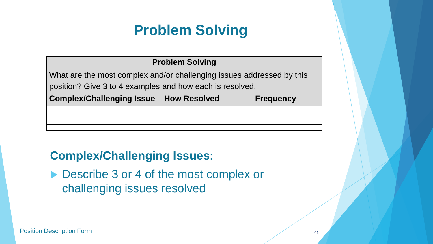#### **Problem Solving**

What are the most complex and/or challenging issues addressed by this position? Give 3 to 4 examples and how each is resolved.

| <b>Complex/Challenging Issue   How Resolved  </b> | <b>Frequency</b> |
|---------------------------------------------------|------------------|
|                                                   |                  |
|                                                   |                  |
|                                                   |                  |
|                                                   |                  |

#### **Complex/Challenging Issues:**

▶ Describe 3 or 4 of the most complex or challenging issues resolved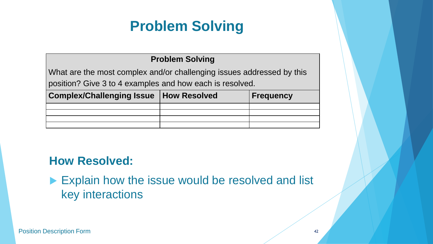#### **Problem Solving**

What are the most complex and/or challenging issues addressed by this position? Give 3 to 4 examples and how each is resolved.

| Complex/Challenging Issue   How Resolved | <b>Frequency</b> |
|------------------------------------------|------------------|
|                                          |                  |
|                                          |                  |
|                                          |                  |
|                                          |                  |

#### **How Resolved:**

#### Explain how the issue would be resolved and list key interactions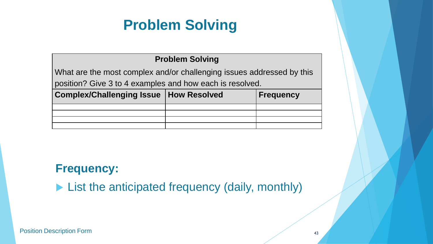#### **Problem Solving**

What are the most complex and/or challenging issues addressed by this position? Give 3 to 4 examples and how each is resolved.

| Complex/Challenging Issue   How Resolved | <b>Frequency</b> |
|------------------------------------------|------------------|
|                                          |                  |
|                                          |                  |
|                                          |                  |
|                                          |                  |

#### **Frequency:**

**List the anticipated frequency (daily, monthly)**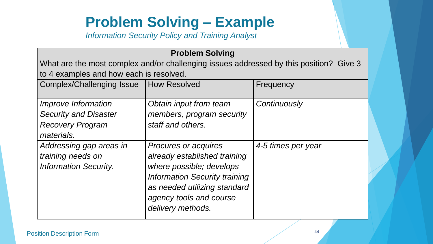## **Problem Solving – Example**

*Information Security Policy and Training Analyst*

#### **Problem Solving** What are the most complex and/or challenging issues addressed by this position? Give 3 to 4 examples and how each is resolved. Complex/Challenging Issue | How Resolved | Frequency *Improve Information Security and Disaster Recovery Program materials. Obtain input from team members, program security staff and others. Continuously Addressing gap areas in training needs on Information Security. Procures or acquires already established training where possible; develops Information Security training as needed utilizing standard agency tools and course delivery methods. 4-5 times per year*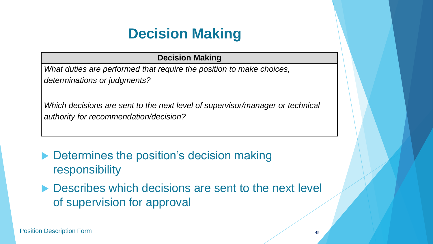## **Decision Making**

#### **Decision Making**

*What duties are performed that require the position to make choices, determinations or judgments?*

*Which decisions are sent to the next level of supervisor/manager or technical authority for recommendation/decision?*

- ▶ Determines the position's decision making responsibility
- **Describes which decisions are sent to the next level** of supervision for approval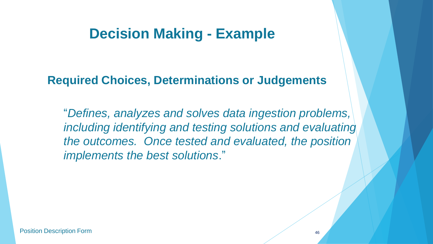#### **Decision Making - Example**

#### **Required Choices, Determinations or Judgements**

"*Defines, analyzes and solves data ingestion problems, including identifying and testing solutions and evaluating the outcomes. Once tested and evaluated, the position implements the best solutions*."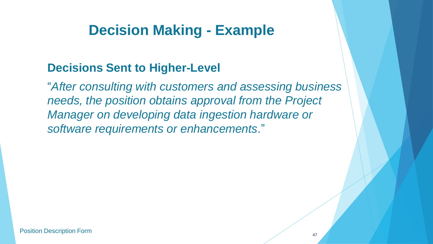### **Decision Making - Example**

#### **Decisions Sent to Higher-Level**

"*After consulting with customers and assessing business needs, the position obtains approval from the Project Manager on developing data ingestion hardware or software requirements or enhancements*."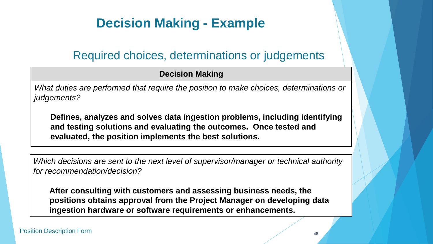#### **Decision Making - Example**

#### Required choices, determinations or judgements

#### **Decision Making**

*What duties are performed that require the position to make choices, determinations or judgements?*

Defines, analyzes and solves data ingestion problems, including identifying **and testing solutions and evaluating the outcomes. Once tested and evaluated, the position implements the best solutions.**

*Which decisions are sent to the next level of supervisor/manager or technical authority for recommendation/decision?*

**After consulting with customers and assessing business needs, the positions obtains approval from the Project Manager on developing data ingestion hardware or software requirements or enhancements.**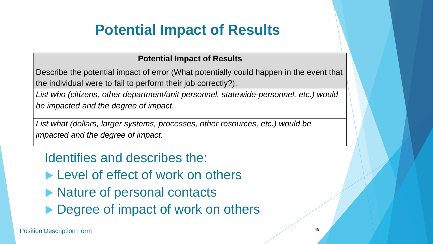#### **Potential Impact of Results**

Describe the potential impact of error (What potentially could happen in the event that the individual were to fail to perform their job correctly?).

*List who (citizens, other department/unit personnel, statewide-personnel, etc.) would be impacted and the degree of impact.*

*List what (dollars, larger systems, processes, other resources, etc.) would be impacted and the degree of impact.*

Identifies and describes the:

- Level of effect of work on others
- ▶ Nature of personal contacts
- ▶ Degree of impact of work on others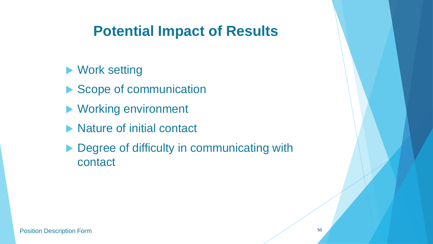**Nork setting** 

- Scope of communication
- ▶ Working environment
- ▶ Nature of initial contact
- ▶ Degree of difficulty in communicating with contact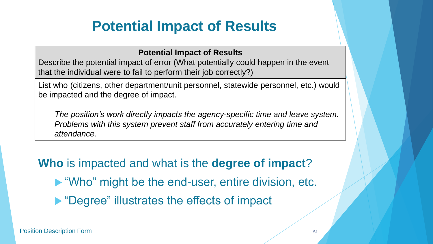#### **Potential Impact of Results**

Describe the potential impact of error (What potentially could happen in the event that the individual were to fail to perform their job correctly?)

List who (citizens, other department/unit personnel, statewide personnel, etc.) would be impacted and the degree of impact.

*The position's work directly impacts the agency-specific time and leave system. Problems with this system prevent staff from accurately entering time and attendance.*

**Who** is impacted and what is the **degree of impact**? "Who" might be the end-user, entire division, etc. ▶ "Degree" illustrates the effects of impact

Position Description Form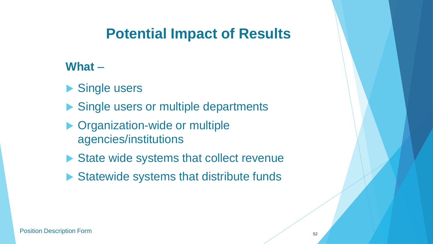#### **What** –

- Single users
- Single users or multiple departments
- ▶ Organization-wide or multiple agencies/institutions
- State wide systems that collect revenue
- ▶ Statewide systems that distribute funds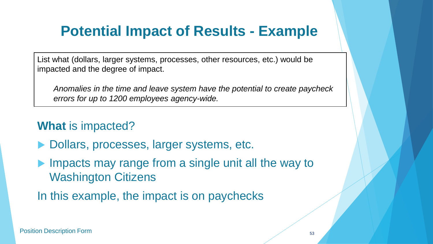### **Potential Impact of Results - Example**

List what (dollars, larger systems, processes, other resources, etc.) would be impacted and the degree of impact.

*Anomalies in the time and leave system have the potential to create paycheck errors for up to 1200 employees agency-wide.*

#### **What** is impacted?

- ▶ Dollars, processes, larger systems, etc.
- $\blacktriangleright$  Impacts may range from a single unit all the way to Washington Citizens
- In this example, the impact is on paychecks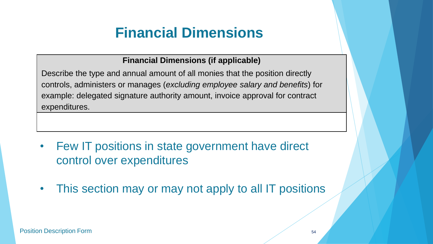## **Financial Dimensions**

#### **Financial Dimensions (if applicable)**

Describe the type and annual amount of all monies that the position directly controls, administers or manages (*excluding employee salary and benefits*) for example: delegated signature authority amount, invoice approval for contract expenditures.

- Few IT positions in state government have direct control over expenditures
- This section may or may not apply to all IT positions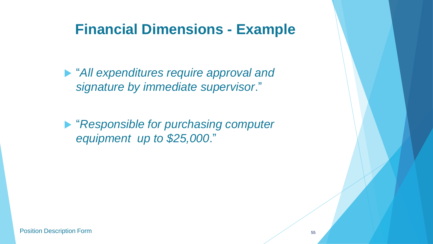#### **Financial Dimensions - Example**

 "*All expenditures require approval and signature by immediate supervisor*."

 "*Responsible for purchasing computer equipment up to \$25,000*."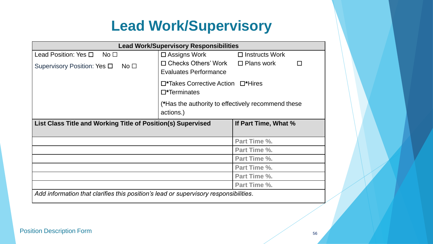## **Lead Work/Supervisory**

| <b>Lead Work/Supervisory Responsibilities</b>                                        |                                                                              |                       |
|--------------------------------------------------------------------------------------|------------------------------------------------------------------------------|-----------------------|
| Lead Position: Yes $\square$ No $\square$                                            | $\square$ Assigns Work                                                       | $\Box$ Instructs Work |
| Supervisory Position: Yes $\square$<br>No <sub>1</sub>                               | $\Box$ Checks Others' Work $\Box$ Plans work<br><b>Evaluates Performance</b> | П                     |
| $\square$ *Takes Corrective Action $\square$ *Hires<br>$\square$ *Terminates         |                                                                              |                       |
|                                                                                      | (*Has the authority to effectively recommend these<br>actions.)              |                       |
| List Class Title and Working Title of Position(s) Supervised<br>If Part Time, What % |                                                                              |                       |
|                                                                                      |                                                                              |                       |
|                                                                                      |                                                                              | Part Time %.          |
|                                                                                      |                                                                              | Part Time %.          |
|                                                                                      |                                                                              | Part Time %.          |
|                                                                                      |                                                                              | Part Time %.          |
|                                                                                      |                                                                              | Part Time %.          |
|                                                                                      |                                                                              | Part Time %.          |
| Add information that clarifies this position's lead or supervisory responsibilities. |                                                                              |                       |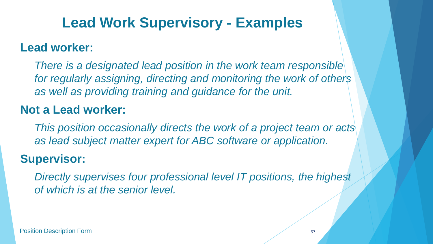## **Lead Work Supervisory - Examples**

#### **Lead worker:**

*There is a designated lead position in the work team responsible for regularly assigning, directing and monitoring the work of others as well as providing training and guidance for the unit.*

#### **Not a Lead worker:**

*This position occasionally directs the work of a project team or acts as lead subject matter expert for ABC software or application.*

#### **Supervisor:**

*Directly supervises four professional level IT positions, the highest of which is at the senior level.*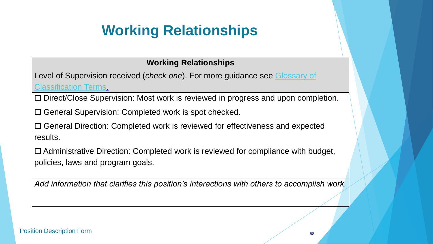## **Working Relationships**

#### **Working Relationships**

Level of Supervision received (*check one*[\). For more guidance see Glossary of](http://www.dop.wa.gov/SiteCollectionDocuments/CompensationAndJobClasses/Comp Class HR Pro Tools/ClassificationGlossary.doc)  Classification Terms.

☐ Direct/Close Supervision: Most work is reviewed in progress and upon completion.

☐ General Supervision: Completed work is spot checked.

☐ General Direction: Completed work is reviewed for effectiveness and expected results.

☐ Administrative Direction: Completed work is reviewed for compliance with budget, policies, laws and program goals.

*Add information that clarifies this position's interactions with others to accomplish work.*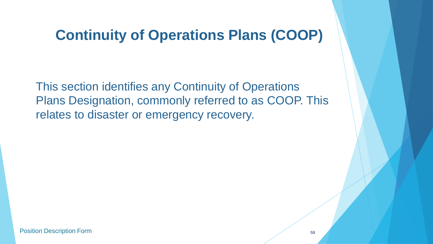#### **Continuity of Operations Plans (COOP)**

This section identifies any Continuity of Operations Plans Designation, commonly referred to as COOP. This relates to disaster or emergency recovery.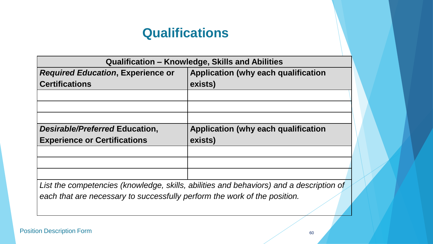| Qualification - Knowledge, Skills and Abilities                                         |                                            |  |
|-----------------------------------------------------------------------------------------|--------------------------------------------|--|
| <b>Required Education, Experience or</b>                                                | <b>Application (why each qualification</b> |  |
| <b>Certifications</b>                                                                   | exists)                                    |  |
|                                                                                         |                                            |  |
|                                                                                         |                                            |  |
|                                                                                         |                                            |  |
| Desirable/Preferred Education,                                                          | Application (why each qualification        |  |
| <b>Experience or Certifications</b>                                                     | exists)                                    |  |
|                                                                                         |                                            |  |
|                                                                                         |                                            |  |
|                                                                                         |                                            |  |
| List the competencies (knowledge, skills, abilities and behaviors) and a description of |                                            |  |
| each that are necessary to successfully perform the work of the position.               |                                            |  |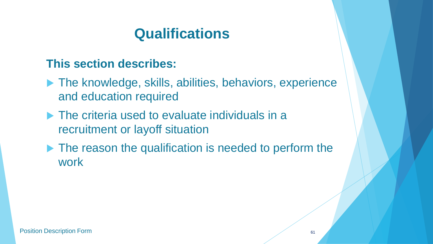#### **This section describes:**

- ▶ The knowledge, skills, abilities, behaviors, experience and education required
- ▶ The criteria used to evaluate individuals in a recruitment or layoff situation
- ▶ The reason the qualification is needed to perform the work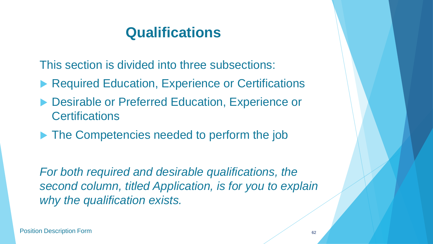This section is divided into three subsections:

- ▶ Required Education, Experience or Certifications
- ▶ Desirable or Preferred Education, Experience or **Certifications**
- ▶ The Competencies needed to perform the job

*For both required and desirable qualifications, the second column, titled Application, is for you to explain why the qualification exists.*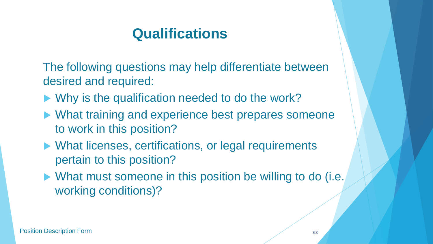The following questions may help differentiate between desired and required:

- Why is the qualification needed to do the work?
- ▶ What training and experience best prepares someone to work in this position?
- ▶ What licenses, certifications, or legal requirements pertain to this position?
- ▶ What must someone in this position be willing to do (i.e. working conditions)?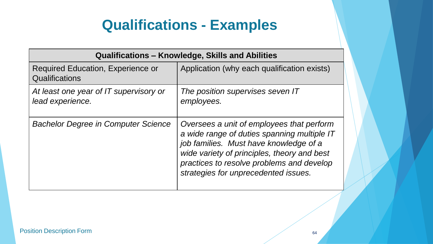### **Qualifications - Examples**

| Qualifications – Knowledge, Skills and Abilities           |                                                                                                                                                                                                                                                                        |  |
|------------------------------------------------------------|------------------------------------------------------------------------------------------------------------------------------------------------------------------------------------------------------------------------------------------------------------------------|--|
| <b>Required Education, Experience or</b><br>Qualifications | Application (why each qualification exists)                                                                                                                                                                                                                            |  |
| At least one year of IT supervisory or<br>lead experience. | The position supervises seven IT<br>employees.                                                                                                                                                                                                                         |  |
| <b>Bachelor Degree in Computer Science</b>                 | Oversees a unit of employees that perform<br>a wide range of duties spanning multiple IT<br>job families. Must have knowledge of a<br>wide variety of principles, theory and best<br>practices to resolve problems and develop<br>strategies for unprecedented issues. |  |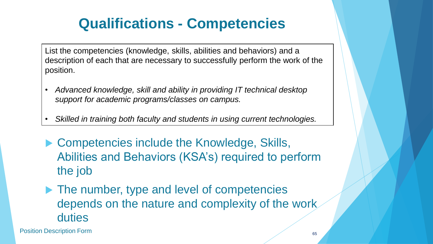## **Qualifications - Competencies**

List the competencies (knowledge, skills, abilities and behaviors) and a description of each that are necessary to successfully perform the work of the position.

- *Advanced knowledge, skill and ability in providing IT technical desktop support for academic programs/classes on campus.*
- *Skilled in training both faculty and students in using current technologies.*
- ▶ Competencies include the Knowledge, Skills, Abilities and Behaviors (KSA's) required to perform the job
- $\blacktriangleright$  The number, type and level of competencies depends on the nature and complexity of the work duties

Position Description Form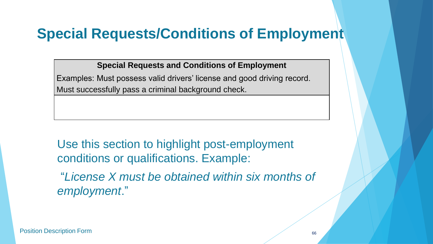### **Special Requests/Conditions of Employment**

**Special Requests and Conditions of Employment**

Examples: Must possess valid drivers' license and good driving record. Must successfully pass a criminal background check.

Use this section to highlight post-employment conditions or qualifications. Example:

"*License X must be obtained within six months of employment*."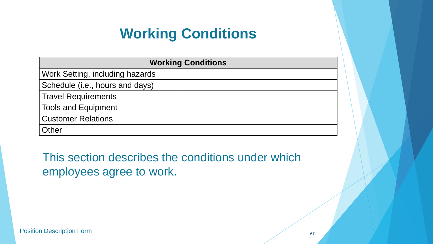### **Working Conditions**

| <b>Working Conditions</b>       |  |
|---------------------------------|--|
| Work Setting, including hazards |  |
| Schedule (i.e., hours and days) |  |
| <b>Travel Requirements</b>      |  |
| <b>Tools and Equipment</b>      |  |
| <b>Customer Relations</b>       |  |
| Other                           |  |

This section describes the conditions under which employees agree to work.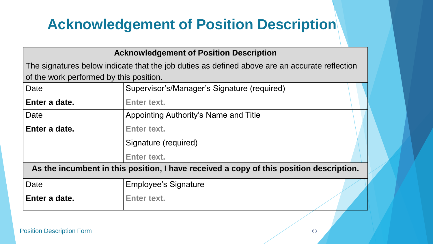## **Acknowledgement of Position Description**

#### **Acknowledgement of Position Description**

The signatures below indicate that the job duties as defined above are an accurate reflection of the work performed by this position.

| Date                                                                                    | Supervisor's/Manager's Signature (required) |  |
|-----------------------------------------------------------------------------------------|---------------------------------------------|--|
| Enter a date.                                                                           | Enter text.                                 |  |
| Date                                                                                    | Appointing Authority's Name and Title       |  |
| Enter a date.                                                                           | Enter text.                                 |  |
|                                                                                         | Signature (required)                        |  |
|                                                                                         | Enter text.                                 |  |
| As the incumbent in this position, I have received a copy of this position description. |                                             |  |
| Date                                                                                    | <b>Employee's Signature</b>                 |  |
| Enter a date.                                                                           | <b>Enter text.</b>                          |  |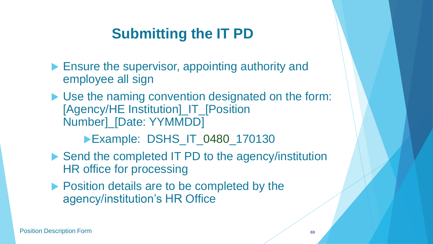## **Submitting the IT PD**

- **Ensure the supervisor, appointing authority and** employee all sign
- ▶ Use the naming convention designated on the form: [Agency/HE Institution]\_IT\_[Position Number]\_[Date: YYMMDD]

**Example: DSHS\_IT\_0480\_170130** 

- ▶ Send the completed IT PD to the agency/institution HR office for processing
- **Position details are to be completed by the** agency/institution's HR Office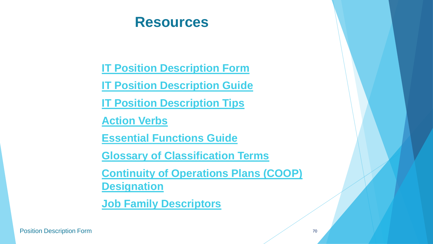#### **Resources**

**[IT Position Description Form](http://hr.ofm.wa.gov/sites/default/files/Information Technology Position Description.docx)**

**[IT Position Description Guide](http://hr.ofm.wa.gov/sites/default/files/documents/CompensationAndJobClasses/1ClassificationLinkedDocuments/IT Position Description Guide.pdf)**

**[IT Position Description Tips](http://hr.ofm.wa.gov/sites/default/files/documents/CompensationAndJobClasses/1ClassificationLinkedDocuments/IT Position Description Tips.pdf)**

**[Action Verbs](http://hr.ofm.wa.gov/sites/default/files/documents/CompensationAndJobClasses/1RoundtableClassCompMeetingMaterials/091208CLEAR ACTION VERBSLP.doc)**

**[Essential Functions Guide](http://hr.ofm.wa.gov/diversity/equal-employment-opportunity/essential-functions-guide)**

**[Glossary of Classification Terms](http://hr.ofm.wa.gov/sites/default/files/documents/CompensationAndJobClasses/Comp Class HR Pro Tools/ClassificationGlossary.doc)**

**[Continuity of Operations Plans \(COOP\)](http://hr.ofm.wa.gov/workforce-data-planning/workforce-planning/continuity-operations-plans-coop-and-critical-positions)  Designation**

**[Job Family Descriptors](http://hr.ofm.wa.gov/sites/default/files/documents/CompensationAndJobClasses/1ClassificationLinkedDocuments/IT Job Family Descriptors.pdf)**